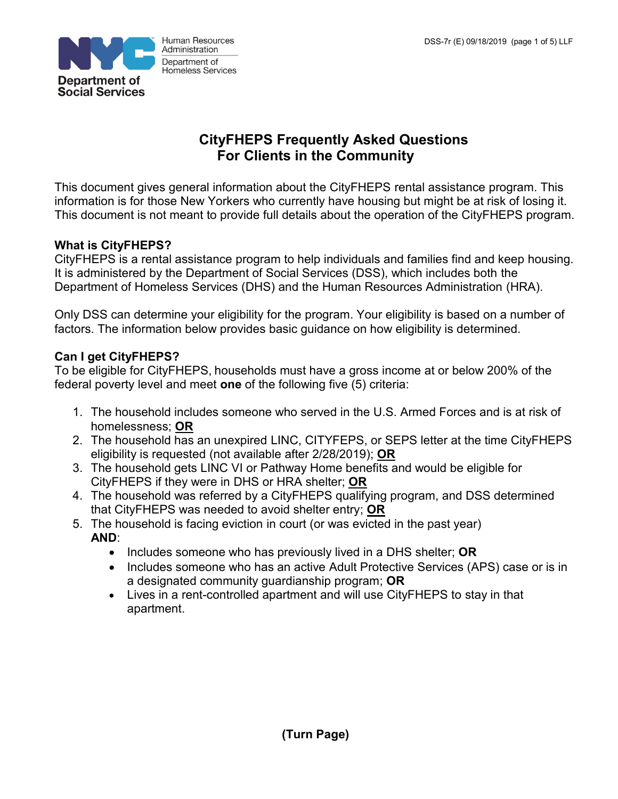

# **CityFHEPS Frequently Asked Questions For Clients in the Community**

This document gives general information about the CityFHEPS rental assistance program. This information is for those New Yorkers who currently have housing but might be at risk of losing it. This document is not meant to provide full details about the operation of the CityFHEPS program.

# **What is CityFHEPS?**

CityFHEPS is a rental assistance program to help individuals and families find and keep housing. It is administered by the Department of Social Services (DSS), which includes both the Department of Homeless Services (DHS) and the Human Resources Administration (HRA).

Only DSS can determine your eligibility for the program. Your eligibility is based on a number of factors. The information below provides basic guidance on how eligibility is determined.

## **Can I get CityFHEPS?**

To be eligible for CityFHEPS, households must have a gross income at or below 200% of the federal poverty level and meet **one** of the following five (5) criteria:

- 1. The household includes someone who served in the U.S. Armed Forces and is at risk of homelessness; **OR**
- 2. The household has an unexpired LINC, CITYFEPS, or SEPS letter at the time CityFHEPS eligibility is requested (not available after 2/28/2019); **OR**
- 3. The household gets LINC VI or Pathway Home benefits and would be eligible for CityFHEPS if they were in DHS or HRA shelter; **OR**
- 4. The household was referred by a CityFHEPS qualifying program, and DSS determined that CityFHEPS was needed to avoid shelter entry; **OR**
- 5. The household is facing eviction in court (or was evicted in the past year) **AND**:
	- Includes someone who has previously lived in a DHS shelter; **OR**
	- Includes someone who has an active Adult Protective Services (APS) case or is in a designated community guardianship program; **OR**
	- Lives in a rent-controlled apartment and will use CityFHEPS to stay in that apartment.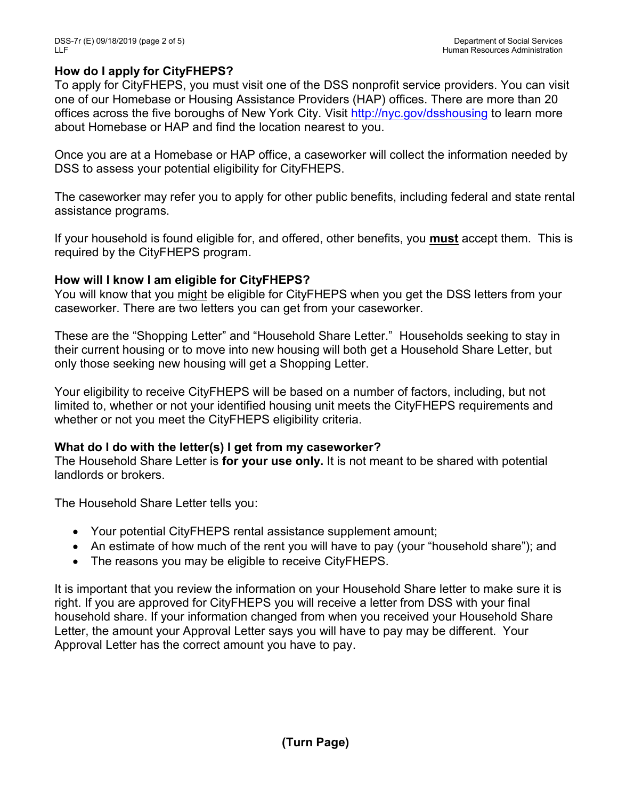### **How do I apply for CityFHEPS?**

To apply for CityFHEPS, you must visit one of the DSS nonprofit service providers. You can visit one of our Homebase or Housing Assistance Providers (HAP) offices. There are more than 20 offices across the five boroughs of New York City. Visit<http://nyc.gov/dsshousing> to learn more about Homebase or HAP and find the location nearest to you.

Once you are at a Homebase or HAP office, a caseworker will collect the information needed by DSS to assess your potential eligibility for CityFHEPS.

The caseworker may refer you to apply for other public benefits, including federal and state rental assistance programs.

If your household is found eligible for, and offered, other benefits, you **must** accept them. This is required by the CityFHEPS program.

### **How will I know I am eligible for CityFHEPS?**

You will know that you might be eligible for CityFHEPS when you get the DSS letters from your caseworker. There are two letters you can get from your caseworker.

These are the "Shopping Letter" and "Household Share Letter." Households seeking to stay in their current housing or to move into new housing will both get a Household Share Letter, but only those seeking new housing will get a Shopping Letter.

Your eligibility to receive CityFHEPS will be based on a number of factors, including, but not limited to, whether or not your identified housing unit meets the CityFHEPS requirements and whether or not you meet the CityFHEPS eligibility criteria.

### **What do I do with the letter(s) I get from my caseworker?**

The Household Share Letter is **for your use only.** It is not meant to be shared with potential landlords or brokers.

The Household Share Letter tells you:

- Your potential CityFHEPS rental assistance supplement amount;
- An estimate of how much of the rent you will have to pay (your "household share"); and
- The reasons you may be eligible to receive CityFHEPS.

It is important that you review the information on your Household Share letter to make sure it is right. If you are approved for CityFHEPS you will receive a letter from DSS with your final household share. If your information changed from when you received your Household Share Letter, the amount your Approval Letter says you will have to pay may be different. Your Approval Letter has the correct amount you have to pay.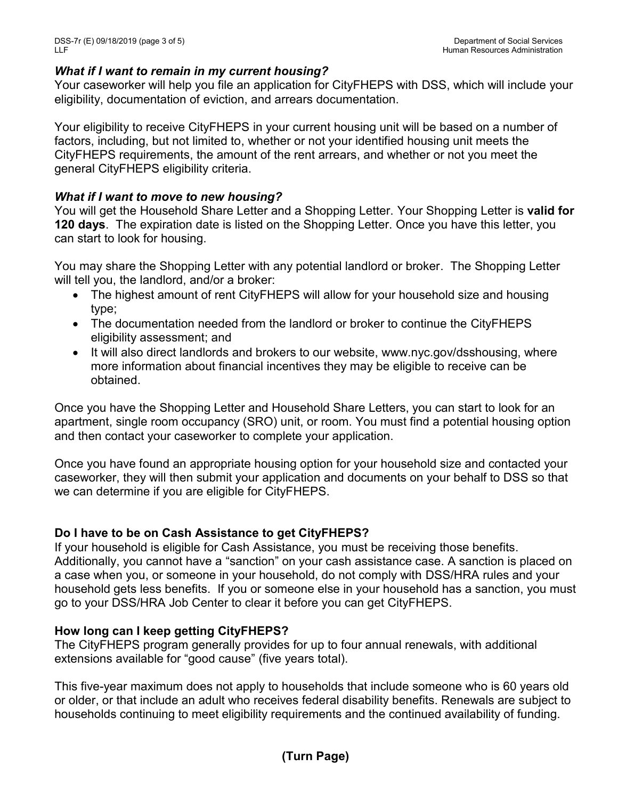#### *What if I want to remain in my current housing?*

Your caseworker will help you file an application for CityFHEPS with DSS, which will include your eligibility, documentation of eviction, and arrears documentation.

Your eligibility to receive CityFHEPS in your current housing unit will be based on a number of factors, including, but not limited to, whether or not your identified housing unit meets the CityFHEPS requirements, the amount of the rent arrears, and whether or not you meet the general CityFHEPS eligibility criteria.

#### *What if I want to move to new housing?*

You will get the Household Share Letter and a Shopping Letter. Your Shopping Letter is **valid for 120 days**. The expiration date is listed on the Shopping Letter. Once you have this letter, you can start to look for housing.

You may share the Shopping Letter with any potential landlord or broker. The Shopping Letter will tell you, the landlord, and/or a broker:

- The highest amount of rent CityFHEPS will allow for your household size and housing type;
- The documentation needed from the landlord or broker to continue the CityFHEPS eligibility assessment; and
- It will also direct landlords and brokers to our website, www.nyc.gov/dsshousing, where more information about financial incentives they may be eligible to receive can be obtained.

Once you have the Shopping Letter and Household Share Letters, you can start to look for an apartment, single room occupancy (SRO) unit, or room. You must find a potential housing option and then contact your caseworker to complete your application.

Once you have found an appropriate housing option for your household size and contacted your caseworker, they will then submit your application and documents on your behalf to DSS so that we can determine if you are eligible for CityFHEPS.

### **Do I have to be on Cash Assistance to get CityFHEPS?**

If your household is eligible for Cash Assistance, you must be receiving those benefits. Additionally, you cannot have a "sanction" on your cash assistance case. A sanction is placed on a case when you, or someone in your household, do not comply with DSS/HRA rules and your household gets less benefits. If you or someone else in your household has a sanction, you must go to your DSS/HRA Job Center to clear it before you can get CityFHEPS.

### **How long can I keep getting CityFHEPS?**

The CityFHEPS program generally provides for up to four annual renewals, with additional extensions available for "good cause" (five years total).

This five-year maximum does not apply to households that include someone who is 60 years old or older, or that include an adult who receives federal disability benefits. Renewals are subject to households continuing to meet eligibility requirements and the continued availability of funding.

### **(Turn Page)**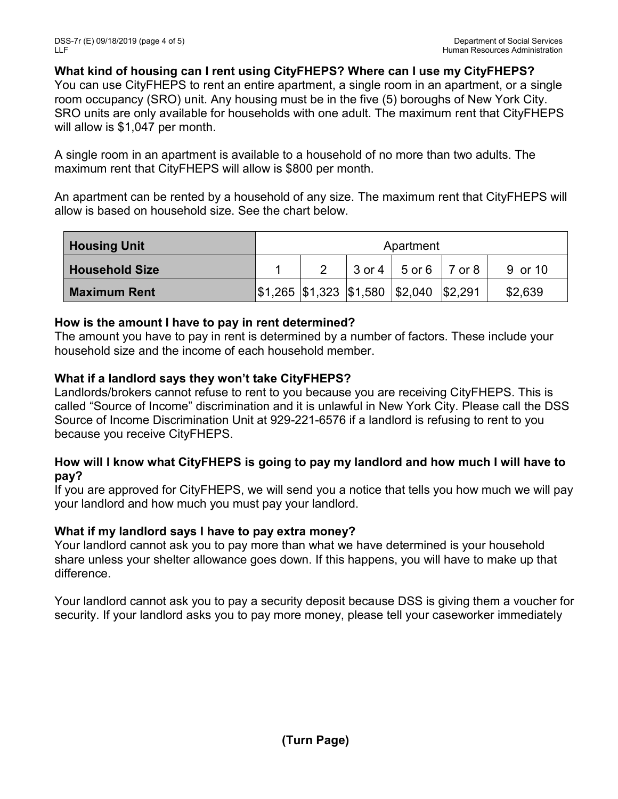**What kind of housing can I rent using CityFHEPS? Where can I use my CityFHEPS?**

You can use CityFHEPS to rent an entire apartment, a single room in an apartment, or a single room occupancy (SRO) unit. Any housing must be in the five (5) boroughs of New York City. SRO units are only available for households with one adult. The maximum rent that CityFHEPS will allow is \$1,047 per month.

A single room in an apartment is available to a household of no more than two adults. The maximum rent that CityFHEPS will allow is \$800 per month.

An apartment can be rented by a household of any size. The maximum rent that CityFHEPS will allow is based on household size. See the chart below.

| <b>Housing Unit</b>   | Apartment |  |  |                                                                                                       |  |         |
|-----------------------|-----------|--|--|-------------------------------------------------------------------------------------------------------|--|---------|
| <b>Household Size</b> |           |  |  | $3$ or $4 \mid 5$ or $6 \mid 7$ or $8 \mid$                                                           |  | 9 or 10 |
| <b>Maximum Rent</b>   |           |  |  | $\frac{1}{2}$ \$1,265 $\frac{1}{3}$ 1,323 $\frac{1}{3}$ 1,580 $\frac{1}{3}$ 2,040 $\frac{1}{3}$ 2,291 |  | \$2,639 |

#### **How is the amount I have to pay in rent determined?**

The amount you have to pay in rent is determined by a number of factors. These include your household size and the income of each household member.

### **What if a landlord says they won't take CityFHEPS?**

Landlords/brokers cannot refuse to rent to you because you are receiving CityFHEPS. This is called "Source of Income" discrimination and it is unlawful in New York City. Please call the DSS Source of Income Discrimination Unit at 929-221-6576 if a landlord is refusing to rent to you because you receive CityFHEPS.

### **How will I know what CityFHEPS is going to pay my landlord and how much I will have to pay?**

If you are approved for CityFHEPS, we will send you a notice that tells you how much we will pay your landlord and how much you must pay your landlord.

### **What if my landlord says I have to pay extra money?**

Your landlord cannot ask you to pay more than what we have determined is your household share unless your shelter allowance goes down. If this happens, you will have to make up that difference.

Your landlord cannot ask you to pay a security deposit because DSS is giving them a voucher for security. If your landlord asks you to pay more money, please tell your caseworker immediately